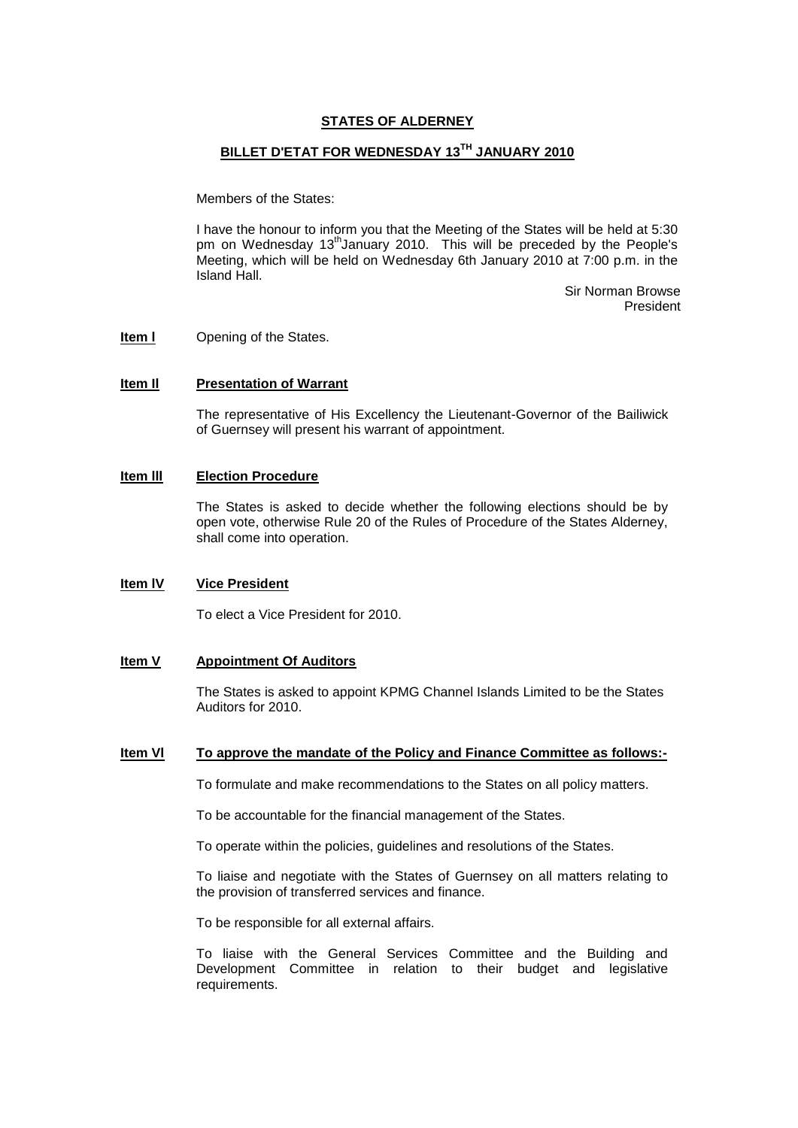# **STATES OF ALDERNEY**

# **BILLET D'ETAT FOR WEDNESDAY 13TH JANUARY 2010**

Members of the States:

I have the honour to inform you that the Meeting of the States will be held at 5:30 pm on Wednesday  $13<sup>th</sup>$ January 2010. This will be preceded by the People's Meeting, which will be held on Wednesday 6th January 2010 at 7:00 p.m. in the Island Hall.

> Sir Norman Browse President

**Item I** Opening of the States.

#### **Item Il Presentation of Warrant**

The representative of His Excellency the Lieutenant-Governor of the Bailiwick of Guernsey will present his warrant of appointment.

# **Item lll Election Procedure**

The States is asked to decide whether the following elections should be by open vote, otherwise Rule 20 of the Rules of Procedure of the States Alderney, shall come into operation.

#### **Item lV Vice President**

To elect a Vice President for 2010.

#### **Item V Appointment Of Auditors**

The States is asked to appoint KPMG Channel Islands Limited to be the States Auditors for 2010.

#### **Item Vl To approve the mandate of the Policy and Finance Committee as follows:-**

To formulate and make recommendations to the States on all policy matters.

To be accountable for the financial management of the States.

To operate within the policies, guidelines and resolutions of the States.

To liaise and negotiate with the States of Guernsey on all matters relating to the provision of transferred services and finance.

To be responsible for all external affairs.

To liaise with the General Services Committee and the Building and Development Committee in relation to their budget and legislative requirements.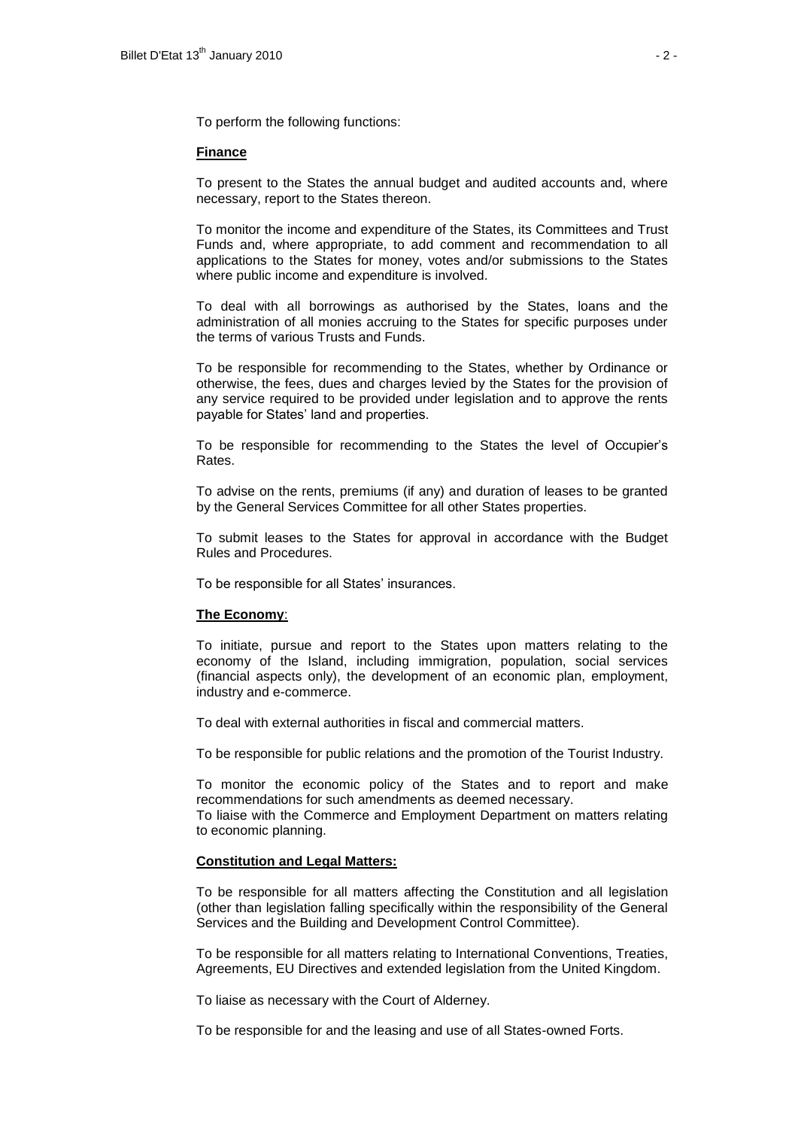To perform the following functions:

#### **Finance**

To present to the States the annual budget and audited accounts and, where necessary, report to the States thereon.

To monitor the income and expenditure of the States, its Committees and Trust Funds and, where appropriate, to add comment and recommendation to all applications to the States for money, votes and/or submissions to the States where public income and expenditure is involved.

To deal with all borrowings as authorised by the States, loans and the administration of all monies accruing to the States for specific purposes under the terms of various Trusts and Funds.

To be responsible for recommending to the States, whether by Ordinance or otherwise, the fees, dues and charges levied by the States for the provision of any service required to be provided under legislation and to approve the rents payable for States' land and properties.

To be responsible for recommending to the States the level of Occupier's Rates.

To advise on the rents, premiums (if any) and duration of leases to be granted by the General Services Committee for all other States properties.

To submit leases to the States for approval in accordance with the Budget Rules and Procedures.

To be responsible for all States' insurances.

#### **The Economy**:

To initiate, pursue and report to the States upon matters relating to the economy of the Island, including immigration, population, social services (financial aspects only), the development of an economic plan, employment, industry and e-commerce.

To deal with external authorities in fiscal and commercial matters.

To be responsible for public relations and the promotion of the Tourist Industry.

To monitor the economic policy of the States and to report and make recommendations for such amendments as deemed necessary.

To liaise with the Commerce and Employment Department on matters relating to economic planning.

#### **Constitution and Legal Matters:**

To be responsible for all matters affecting the Constitution and all legislation (other than legislation falling specifically within the responsibility of the General Services and the Building and Development Control Committee).

To be responsible for all matters relating to International Conventions, Treaties, Agreements, EU Directives and extended legislation from the United Kingdom.

To liaise as necessary with the Court of Alderney.

To be responsible for and the leasing and use of all States-owned Forts.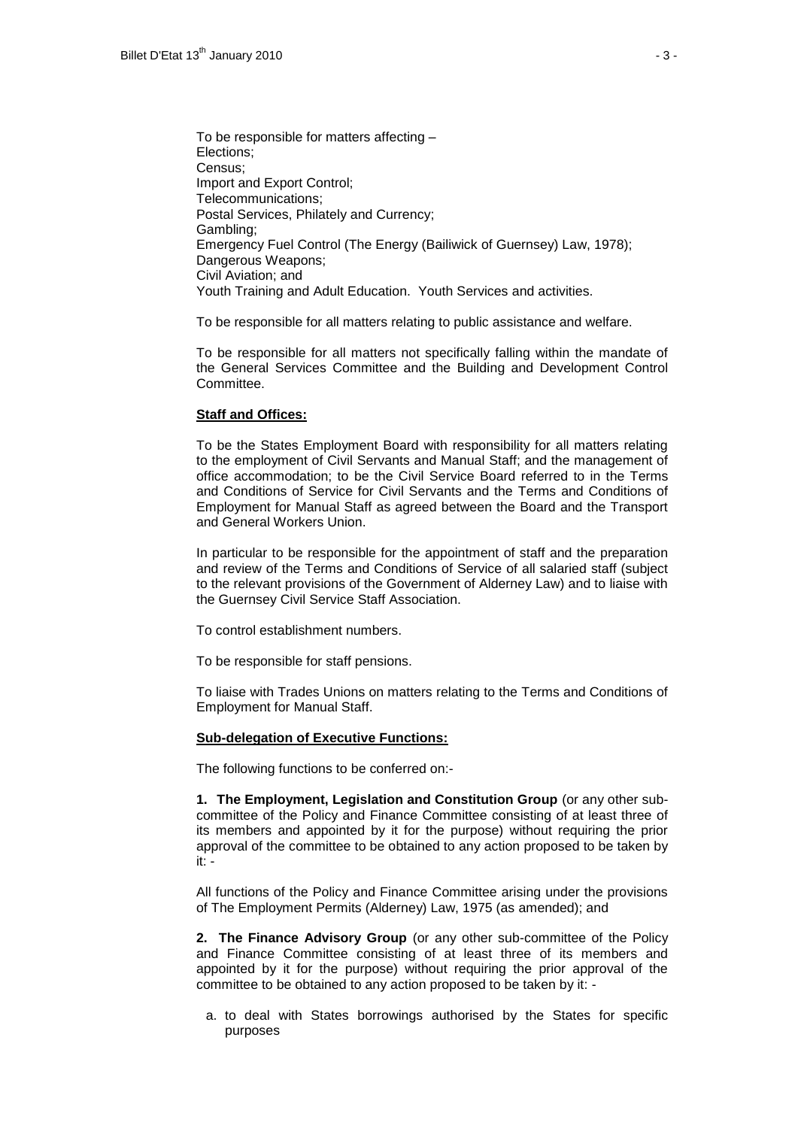To be responsible for matters affecting – Elections; Census; Import and Export Control; Telecommunications; Postal Services, Philately and Currency; Gambling; Emergency Fuel Control (The Energy (Bailiwick of Guernsey) Law, 1978); Dangerous Weapons; Civil Aviation; and Youth Training and Adult Education. Youth Services and activities.

To be responsible for all matters relating to public assistance and welfare.

To be responsible for all matters not specifically falling within the mandate of the General Services Committee and the Building and Development Control Committee.

#### **Staff and Offices:**

To be the States Employment Board with responsibility for all matters relating to the employment of Civil Servants and Manual Staff; and the management of office accommodation; to be the Civil Service Board referred to in the Terms and Conditions of Service for Civil Servants and the Terms and Conditions of Employment for Manual Staff as agreed between the Board and the Transport and General Workers Union.

In particular to be responsible for the appointment of staff and the preparation and review of the Terms and Conditions of Service of all salaried staff (subject to the relevant provisions of the Government of Alderney Law) and to liaise with the Guernsey Civil Service Staff Association.

To control establishment numbers.

To be responsible for staff pensions.

To liaise with Trades Unions on matters relating to the Terms and Conditions of Employment for Manual Staff.

#### **Sub-delegation of Executive Functions:**

The following functions to be conferred on:-

**1. The Employment, Legislation and Constitution Group** (or any other subcommittee of the Policy and Finance Committee consisting of at least three of its members and appointed by it for the purpose) without requiring the prior approval of the committee to be obtained to any action proposed to be taken by it: -

All functions of the Policy and Finance Committee arising under the provisions of The Employment Permits (Alderney) Law, 1975 (as amended); and

**2. The Finance Advisory Group** (or any other sub-committee of the Policy and Finance Committee consisting of at least three of its members and appointed by it for the purpose) without requiring the prior approval of the committee to be obtained to any action proposed to be taken by it: -

a. to deal with States borrowings authorised by the States for specific purposes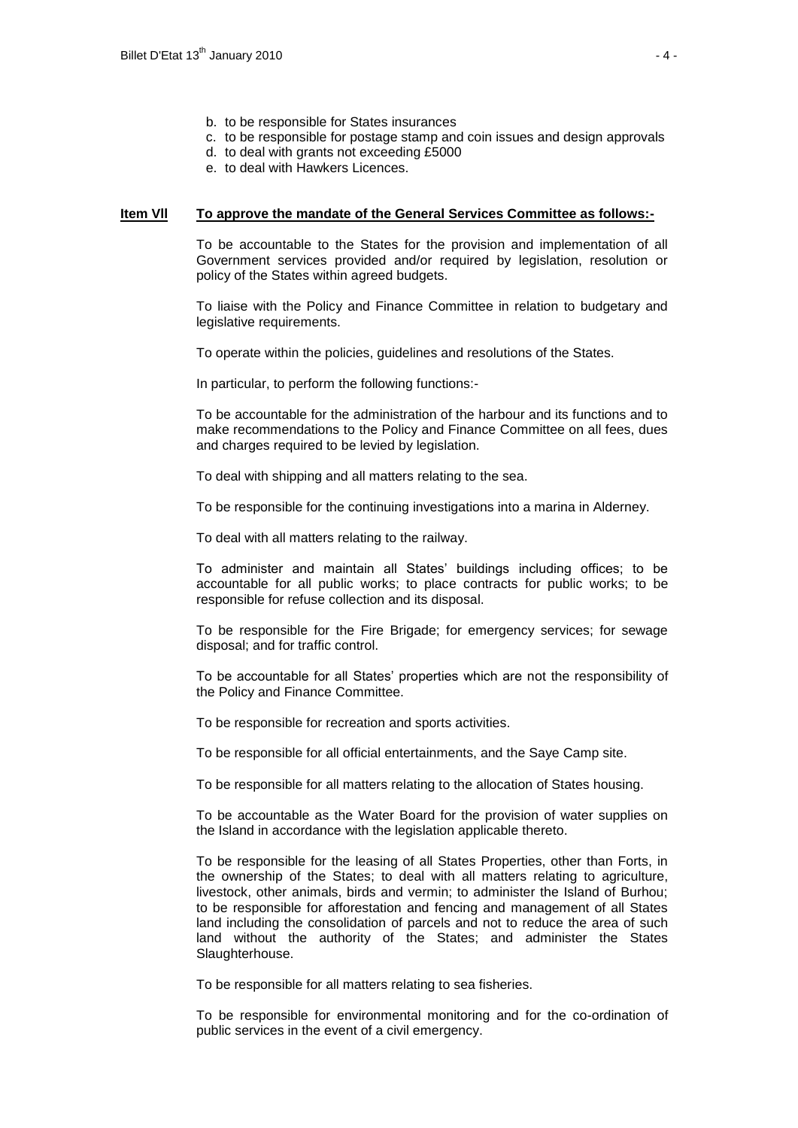- b. to be responsible for States insurances
- c. to be responsible for postage stamp and coin issues and design approvals
- d. to deal with grants not exceeding £5000
- e. to deal with Hawkers Licences.

#### **Item Vll To approve the mandate of the General Services Committee as follows:-**

To be accountable to the States for the provision and implementation of all Government services provided and/or required by legislation, resolution or policy of the States within agreed budgets.

To liaise with the Policy and Finance Committee in relation to budgetary and legislative requirements.

To operate within the policies, guidelines and resolutions of the States.

In particular, to perform the following functions:-

To be accountable for the administration of the harbour and its functions and to make recommendations to the Policy and Finance Committee on all fees, dues and charges required to be levied by legislation.

To deal with shipping and all matters relating to the sea.

To be responsible for the continuing investigations into a marina in Alderney.

To deal with all matters relating to the railway.

To administer and maintain all States' buildings including offices; to be accountable for all public works; to place contracts for public works; to be responsible for refuse collection and its disposal.

To be responsible for the Fire Brigade; for emergency services; for sewage disposal; and for traffic control.

To be accountable for all States' properties which are not the responsibility of the Policy and Finance Committee.

To be responsible for recreation and sports activities.

To be responsible for all official entertainments, and the Saye Camp site.

To be responsible for all matters relating to the allocation of States housing.

To be accountable as the Water Board for the provision of water supplies on the Island in accordance with the legislation applicable thereto.

To be responsible for the leasing of all States Properties, other than Forts, in the ownership of the States; to deal with all matters relating to agriculture, livestock, other animals, birds and vermin; to administer the Island of Burhou; to be responsible for afforestation and fencing and management of all States land including the consolidation of parcels and not to reduce the area of such land without the authority of the States; and administer the States Slaughterhouse.

To be responsible for all matters relating to sea fisheries.

To be responsible for environmental monitoring and for the co-ordination of public services in the event of a civil emergency.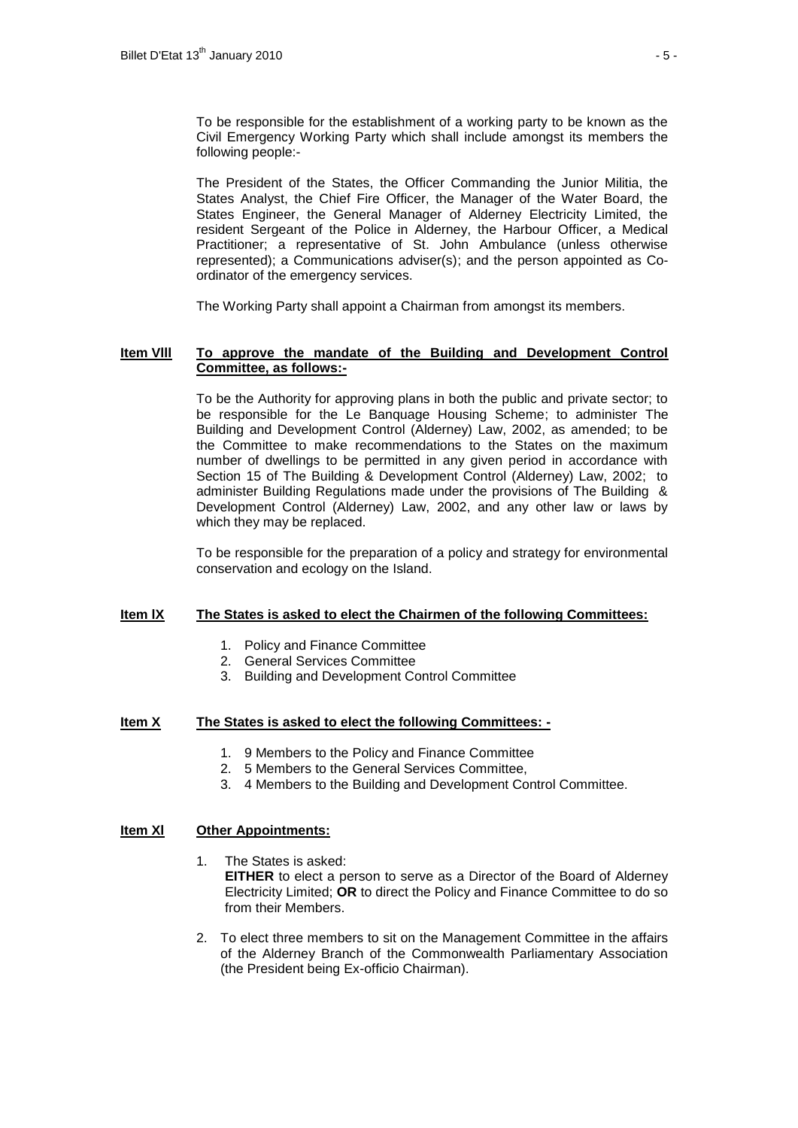The President of the States, the Officer Commanding the Junior Militia, the States Analyst, the Chief Fire Officer, the Manager of the Water Board, the States Engineer, the General Manager of Alderney Electricity Limited, the resident Sergeant of the Police in Alderney, the Harbour Officer, a Medical Practitioner; a representative of St. John Ambulance (unless otherwise represented); a Communications adviser(s); and the person appointed as Coordinator of the emergency services.

The Working Party shall appoint a Chairman from amongst its members.

### **Item Vlll To approve the mandate of the Building and Development Control Committee, as follows:-**

To be the Authority for approving plans in both the public and private sector; to be responsible for the Le Banquage Housing Scheme; to administer The Building and Development Control (Alderney) Law, 2002, as amended; to be the Committee to make recommendations to the States on the maximum number of dwellings to be permitted in any given period in accordance with Section 15 of The Building & Development Control (Alderney) Law, 2002; to administer Building Regulations made under the provisions of The Building & Development Control (Alderney) Law, 2002, and any other law or laws by which they may be replaced.

To be responsible for the preparation of a policy and strategy for environmental conservation and ecology on the Island.

# **Item lX The States is asked to elect the Chairmen of the following Committees:**

- 1. Policy and Finance Committee
- 2. General Services Committee
- 3. Building and Development Control Committee

# **Item X The States is asked to elect the following Committees: -**

- 1. 9 Members to the Policy and Finance Committee
- 2. 5 Members to the General Services Committee,
- 3. 4 Members to the Building and Development Control Committee.

#### **Item Xl Other Appointments:**

- 1. The States is asked: **EITHER** to elect a person to serve as a Director of the Board of Alderney Electricity Limited; **OR** to direct the Policy and Finance Committee to do so from their Members.
- 2. To elect three members to sit on the Management Committee in the affairs of the Alderney Branch of the Commonwealth Parliamentary Association (the President being Ex-officio Chairman).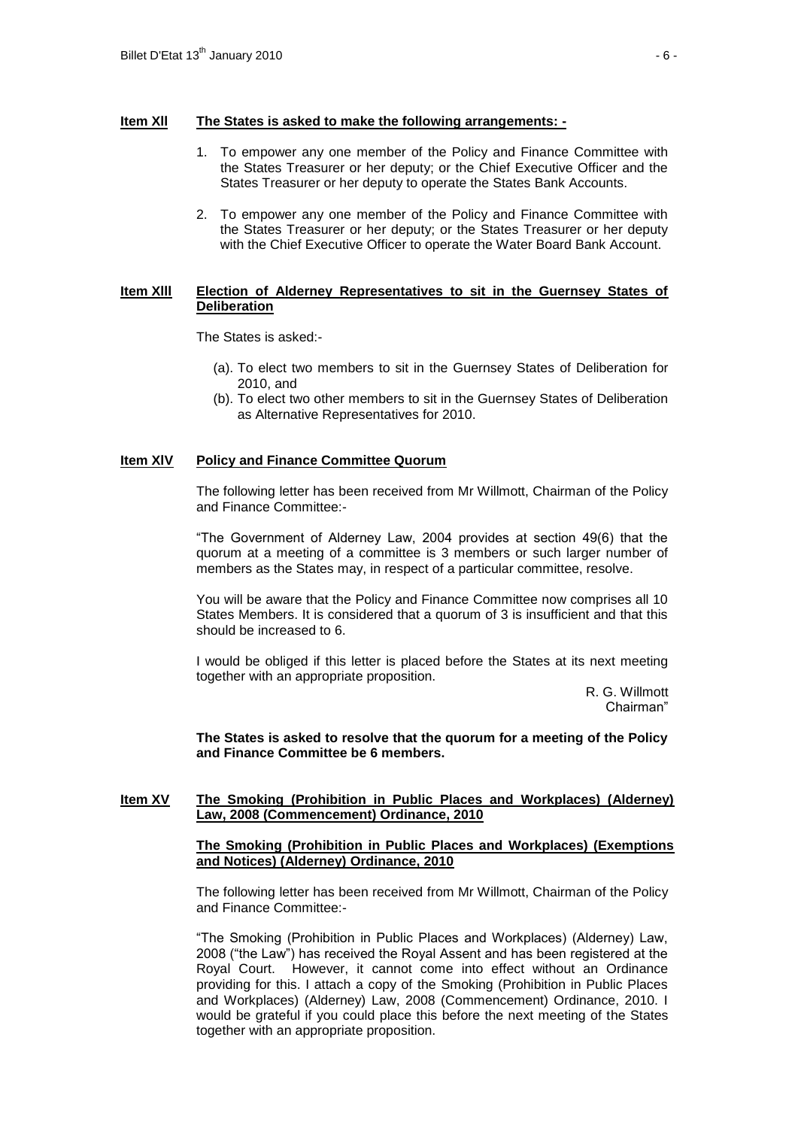#### **Item Xll The States is asked to make the following arrangements: -**

- 1. To empower any one member of the Policy and Finance Committee with the States Treasurer or her deputy; or the Chief Executive Officer and the States Treasurer or her deputy to operate the States Bank Accounts.
- 2. To empower any one member of the Policy and Finance Committee with the States Treasurer or her deputy; or the States Treasurer or her deputy with the Chief Executive Officer to operate the Water Board Bank Account.

# **Item Xlll Election of Alderney Representatives to sit in the Guernsey States of Deliberation**

The States is asked:-

- (a). To elect two members to sit in the Guernsey States of Deliberation for 2010, and
- (b). To elect two other members to sit in the Guernsey States of Deliberation as Alternative Representatives for 2010.

#### **Item XlV Policy and Finance Committee Quorum**

The following letter has been received from Mr Willmott, Chairman of the Policy and Finance Committee:-

"The Government of Alderney Law, 2004 provides at section 49(6) that the quorum at a meeting of a committee is 3 members or such larger number of members as the States may, in respect of a particular committee, resolve.

You will be aware that the Policy and Finance Committee now comprises all 10 States Members. It is considered that a quorum of 3 is insufficient and that this should be increased to 6.

I would be obliged if this letter is placed before the States at its next meeting together with an appropriate proposition.

> R. G. Willmott Chairman"

**The States is asked to resolve that the quorum for a meeting of the Policy and Finance Committee be 6 members.** 

#### **Item XV The Smoking (Prohibition in Public Places and Workplaces) (Alderney) Law, 2008 (Commencement) Ordinance, 2010**

#### **The Smoking (Prohibition in Public Places and Workplaces) (Exemptions and Notices) (Alderney) Ordinance, 2010**

The following letter has been received from Mr Willmott, Chairman of the Policy and Finance Committee:-

"The Smoking (Prohibition in Public Places and Workplaces) (Alderney) Law, 2008 ("the Law") has received the Royal Assent and has been registered at the Royal Court. However, it cannot come into effect without an Ordinance providing for this. I attach a copy of the Smoking (Prohibition in Public Places and Workplaces) (Alderney) Law, 2008 (Commencement) Ordinance, 2010. I would be grateful if you could place this before the next meeting of the States together with an appropriate proposition.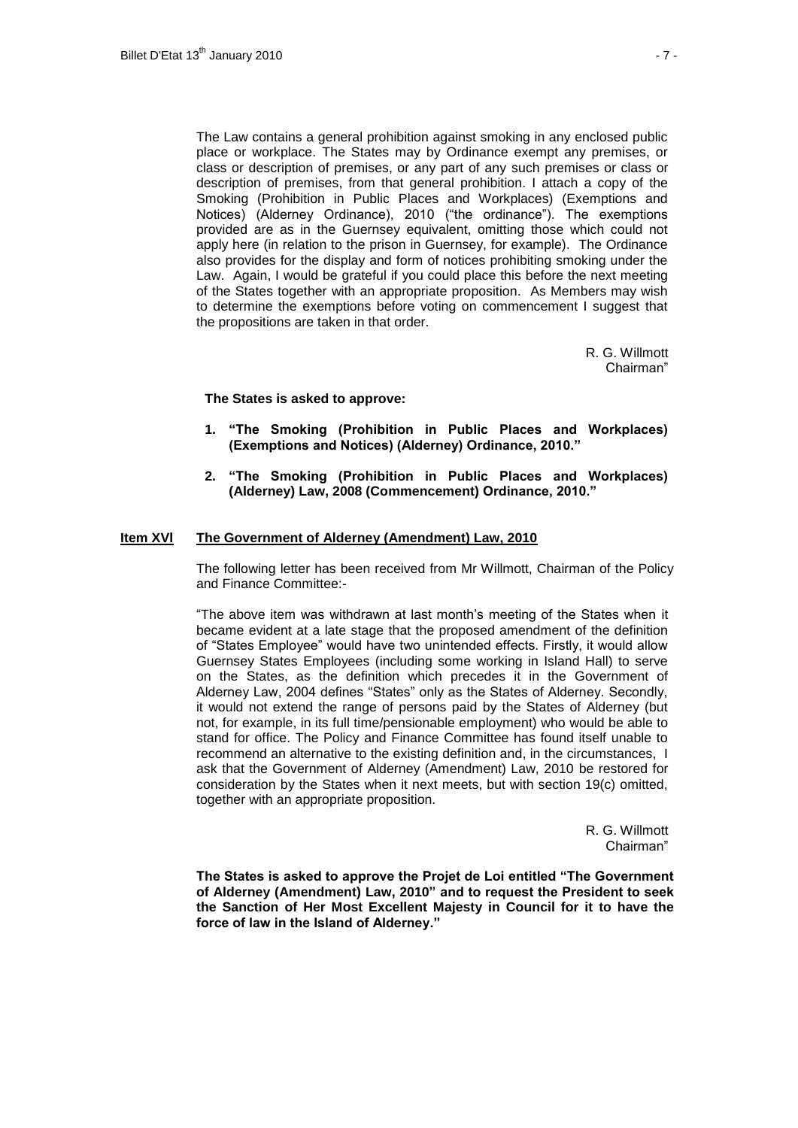The Law contains a general prohibition against smoking in any enclosed public place or workplace. The States may by Ordinance exempt any premises, or class or description of premises, or any part of any such premises or class or description of premises, from that general prohibition. I attach a copy of the Smoking (Prohibition in Public Places and Workplaces) (Exemptions and Notices) (Alderney Ordinance), 2010 ("the ordinance"). The exemptions provided are as in the Guernsey equivalent, omitting those which could not apply here (in relation to the prison in Guernsey, for example). The Ordinance also provides for the display and form of notices prohibiting smoking under the Law. Again, I would be grateful if you could place this before the next meeting of the States together with an appropriate proposition. As Members may wish to determine the exemptions before voting on commencement I suggest that the propositions are taken in that order.

> R. G. Willmott Chairman"

#### **The States is asked to approve:**

- **1. "The Smoking (Prohibition in Public Places and Workplaces) (Exemptions and Notices) (Alderney) Ordinance, 2010."**
- **2. "The Smoking (Prohibition in Public Places and Workplaces) (Alderney) Law, 2008 (Commencement) Ordinance, 2010."**

#### **Item XVl The Government of Alderney (Amendment) Law, 2010**

The following letter has been received from Mr Willmott, Chairman of the Policy and Finance Committee:-

"The above item was withdrawn at last month's meeting of the States when it became evident at a late stage that the proposed amendment of the definition of "States Employee" would have two unintended effects. Firstly, it would allow Guernsey States Employees (including some working in Island Hall) to serve on the States, as the definition which precedes it in the Government of Alderney Law, 2004 defines "States" only as the States of Alderney. Secondly, it would not extend the range of persons paid by the States of Alderney (but not, for example, in its full time/pensionable employment) who would be able to stand for office. The Policy and Finance Committee has found itself unable to recommend an alternative to the existing definition and, in the circumstances, I ask that the Government of Alderney (Amendment) Law, 2010 be restored for consideration by the States when it next meets, but with section 19(c) omitted, together with an appropriate proposition.

> R. G. Willmott Chairman"

**The States is asked to approve the Projet de Loi entitled "The Government of Alderney (Amendment) Law, 2010" and to request the President to seek the Sanction of Her Most Excellent Majesty in Council for it to have the force of law in the Island of Alderney."**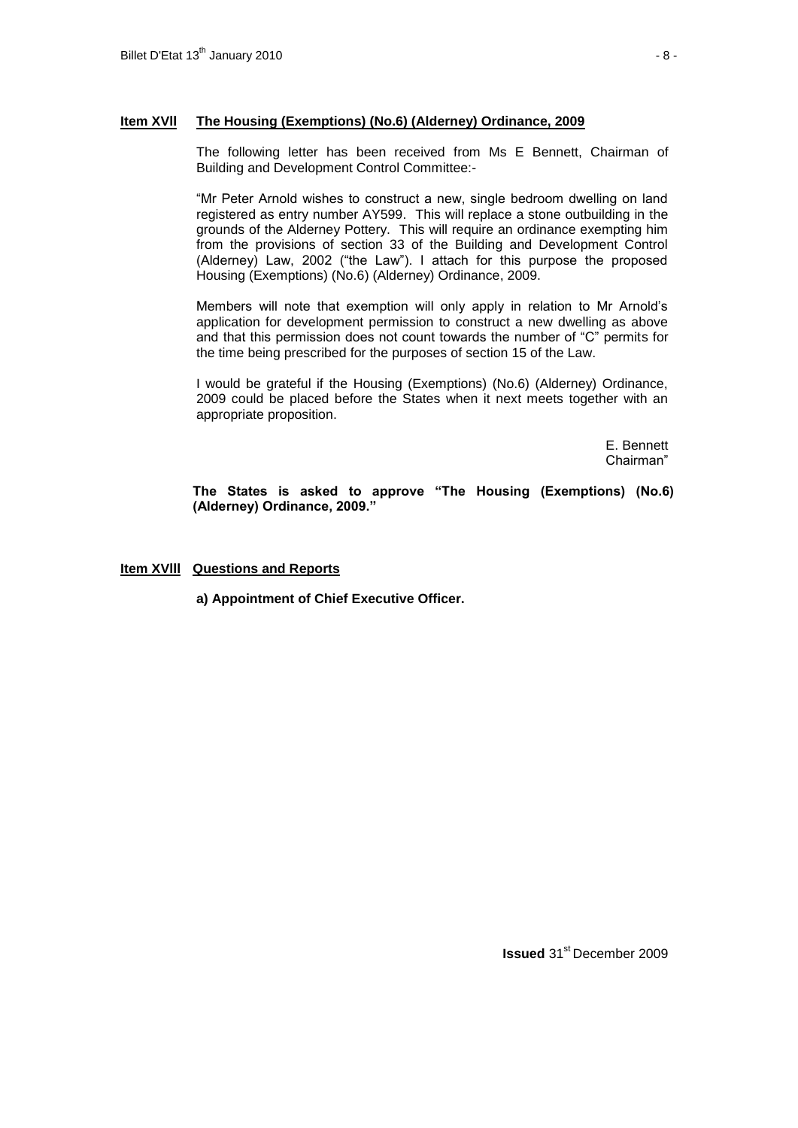# **Item XVll The Housing (Exemptions) (No.6) (Alderney) Ordinance, 2009**

The following letter has been received from Ms E Bennett, Chairman of Building and Development Control Committee:-

"Mr Peter Arnold wishes to construct a new, single bedroom dwelling on land registered as entry number AY599. This will replace a stone outbuilding in the grounds of the Alderney Pottery. This will require an ordinance exempting him from the provisions of section 33 of the Building and Development Control (Alderney) Law, 2002 ("the Law"). I attach for this purpose the proposed Housing (Exemptions) (No.6) (Alderney) Ordinance, 2009.

Members will note that exemption will only apply in relation to Mr Arnold's application for development permission to construct a new dwelling as above and that this permission does not count towards the number of "C" permits for the time being prescribed for the purposes of section 15 of the Law.

I would be grateful if the Housing (Exemptions) (No.6) (Alderney) Ordinance, 2009 could be placed before the States when it next meets together with an appropriate proposition.

> E. Bennett Chairman"

**The States is asked to approve "The Housing (Exemptions) (No.6) (Alderney) Ordinance, 2009."**

**Item XVlll Questions and Reports**

**a) Appointment of Chief Executive Officer.**

**Issued** 31<sup>st</sup> December 2009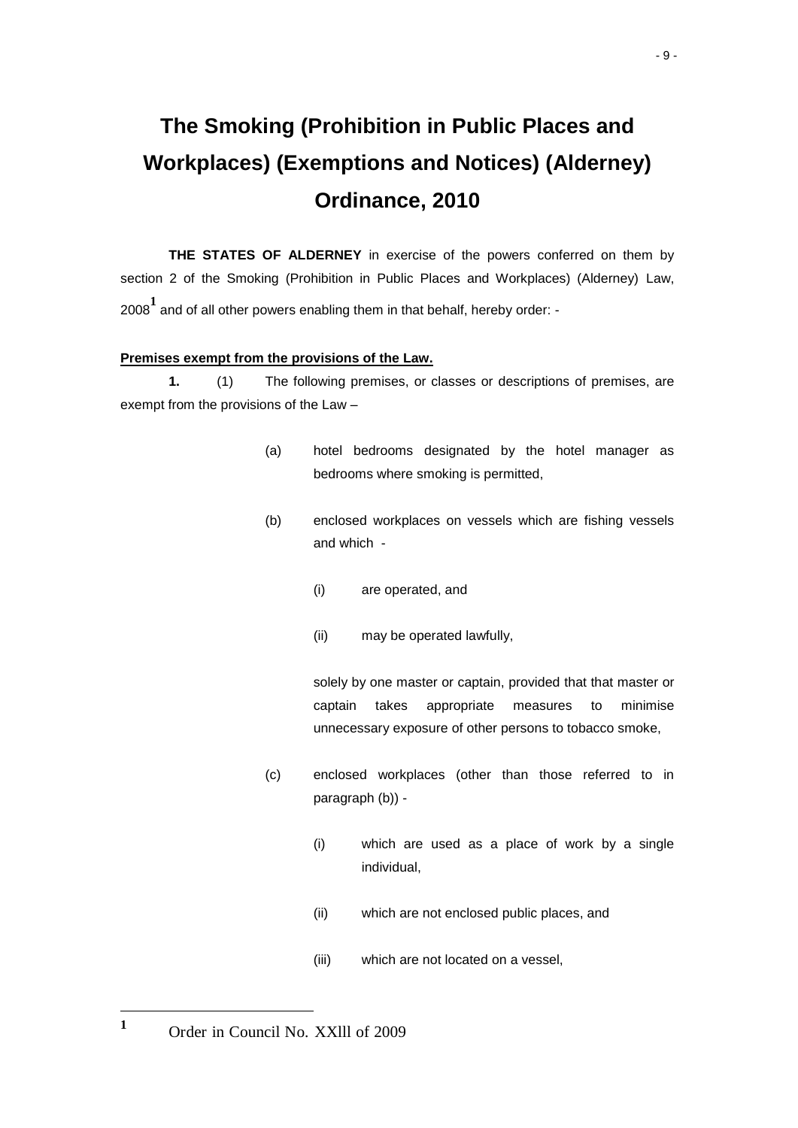# **The Smoking (Prohibition in Public Places and Workplaces) (Exemptions and Notices) (Alderney) Ordinance, 2010**

**THE STATES OF ALDERNEY** in exercise of the powers conferred on them by section 2 of the Smoking (Prohibition in Public Places and Workplaces) (Alderney) Law, <sup>2008</sup>**<sup>1</sup>** and of all other powers enabling them in that behalf, hereby order: -

# **Premises exempt from the provisions of the Law.**

**1.** (1) The following premises, or classes or descriptions of premises, are exempt from the provisions of the Law –

- (a) hotel bedrooms designated by the hotel manager as bedrooms where smoking is permitted,
- (b) enclosed workplaces on vessels which are fishing vessels and which -
	- (i) are operated, and
	- (ii) may be operated lawfully,

solely by one master or captain, provided that that master or captain takes appropriate measures to minimise unnecessary exposure of other persons to tobacco smoke,

- (c) enclosed workplaces (other than those referred to in paragraph (b)) -
	- (i) which are used as a place of work by a single individual,
	- (ii) which are not enclosed public places, and
	- (iii) which are not located on a vessel,

l

<sup>&</sup>lt;sup>1</sup> Order in Council No. XXIII of 2009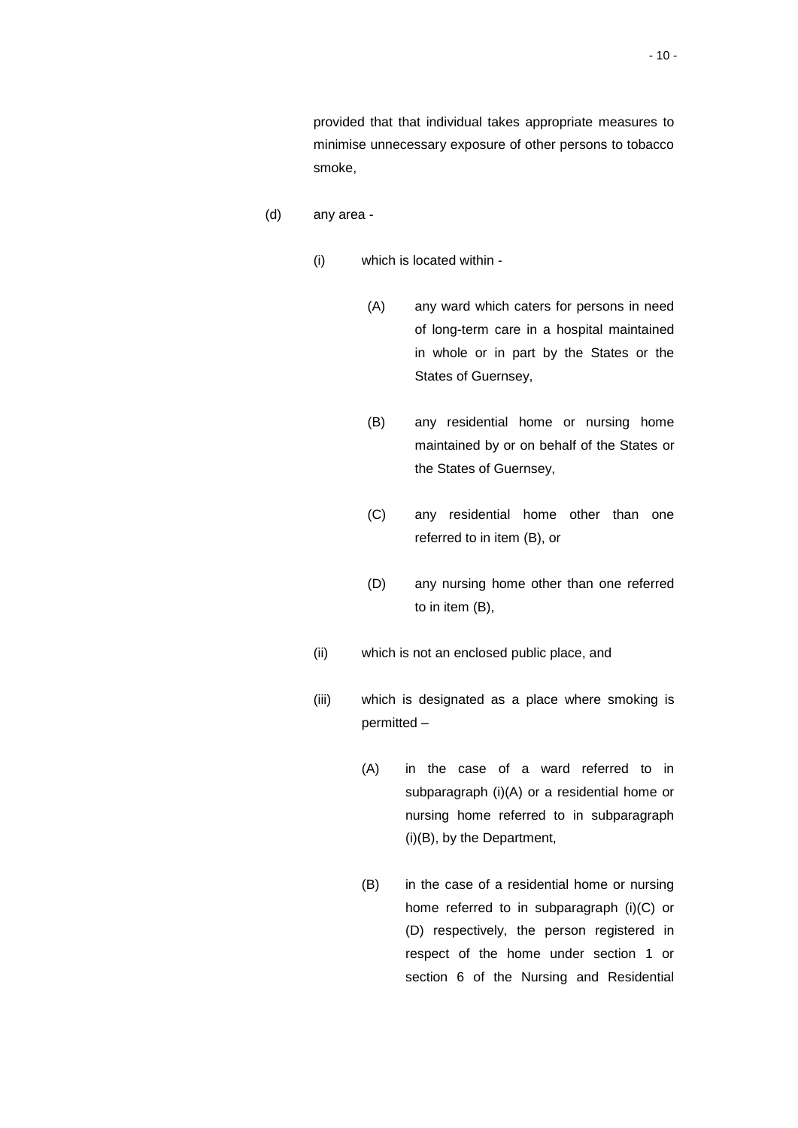provided that that individual takes appropriate measures to minimise unnecessary exposure of other persons to tobacco smoke,

- (d) any area
	- (i) which is located within
		- (A) any ward which caters for persons in need of long-term care in a hospital maintained in whole or in part by the States or the States of Guernsey,
		- (B) any residential home or nursing home maintained by or on behalf of the States or the States of Guernsey,
		- (C) any residential home other than one referred to in item (B), or
		- (D) any nursing home other than one referred to in item (B),
	- (ii) which is not an enclosed public place, and
	- (iii) which is designated as a place where smoking is permitted –
		- (A) in the case of a ward referred to in subparagraph (i)(A) or a residential home or nursing home referred to in subparagraph (i)(B), by the Department,
		- (B) in the case of a residential home or nursing home referred to in subparagraph (i)(C) or (D) respectively, the person registered in respect of the home under section 1 or section 6 of the Nursing and Residential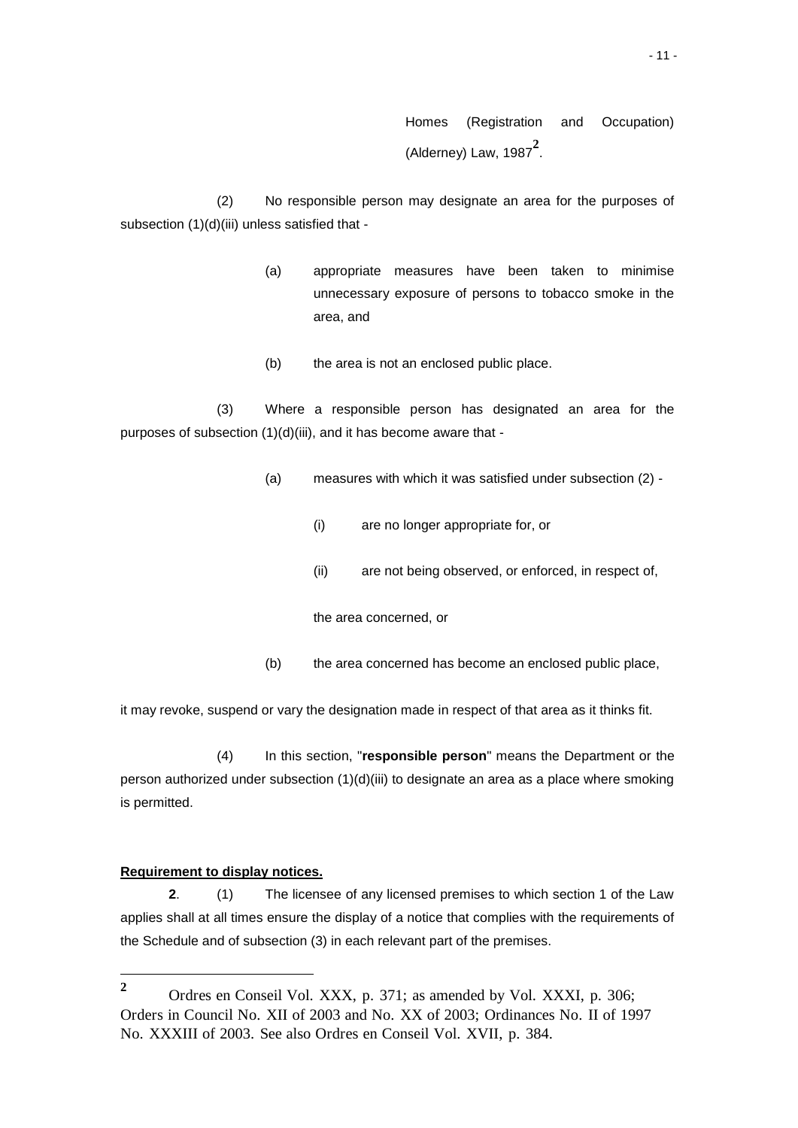Homes (Registration and Occupation) (Alderney) Law, 1987**<sup>2</sup>** .

(2) No responsible person may designate an area for the purposes of subsection (1)(d)(iii) unless satisfied that -

- (a) appropriate measures have been taken to minimise unnecessary exposure of persons to tobacco smoke in the area, and
- (b) the area is not an enclosed public place.

(3) Where a responsible person has designated an area for the purposes of subsection (1)(d)(iii), and it has become aware that -

- (a) measures with which it was satisfied under subsection (2)
	- (i) are no longer appropriate for, or
	- (ii) are not being observed, or enforced, in respect of,

the area concerned, or

(b) the area concerned has become an enclosed public place,

it may revoke, suspend or vary the designation made in respect of that area as it thinks fit.

(4) In this section, "**responsible person**" means the Department or the person authorized under subsection (1)(d)(iii) to designate an area as a place where smoking is permitted.

#### **Requirement to display notices.**

l

**2**. (1) The licensee of any licensed premises to which section 1 of the Law applies shall at all times ensure the display of a notice that complies with the requirements of the Schedule and of subsection (3) in each relevant part of the premises.

**<sup>2</sup>** Ordres en Conseil Vol. XXX, p. 371; as amended by Vol. XXXI, p. 306; Orders in Council No. XII of 2003 and No. XX of 2003; Ordinances No. II of 1997 No. XXXIII of 2003. See also Ordres en Conseil Vol. XVII, p. 384.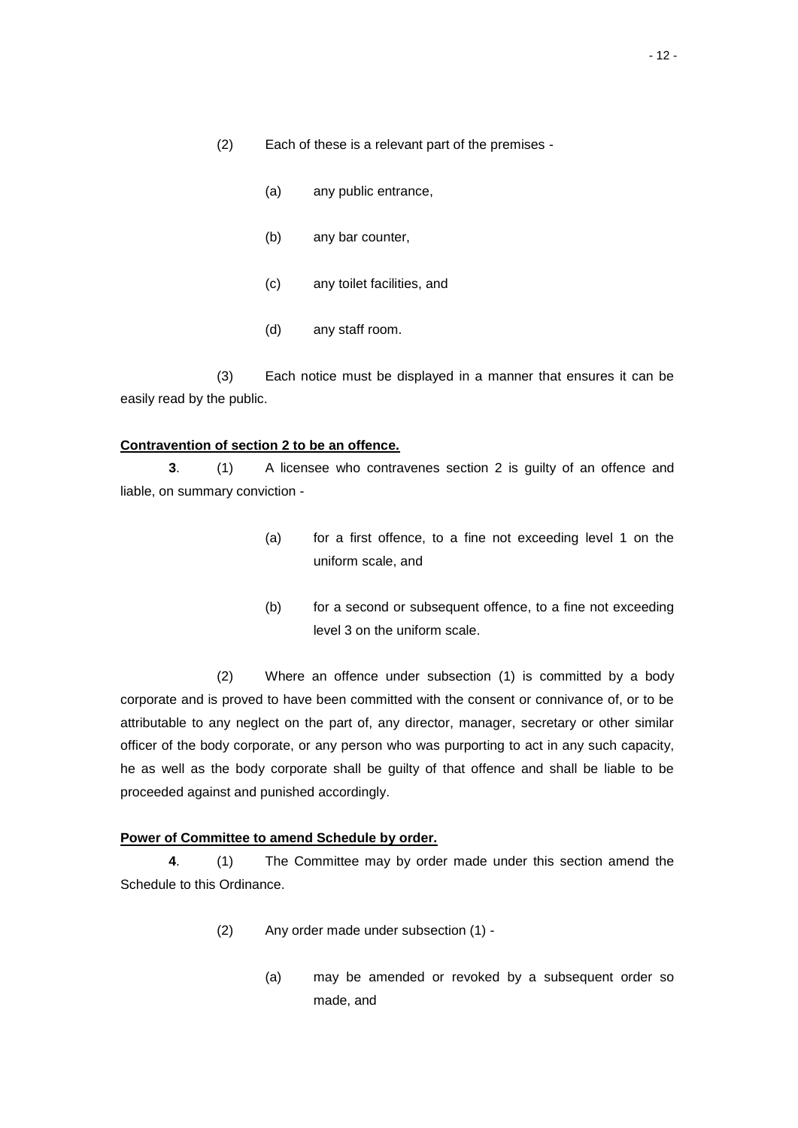- (a) any public entrance,
- (b) any bar counter,
- (c) any toilet facilities, and
- (d) any staff room.

(3) Each notice must be displayed in a manner that ensures it can be easily read by the public.

#### **Contravention of section 2 to be an offence.**

**3**. (1) A licensee who contravenes section 2 is guilty of an offence and liable, on summary conviction -

- (a) for a first offence, to a fine not exceeding level 1 on the uniform scale, and
- (b) for a second or subsequent offence, to a fine not exceeding level 3 on the uniform scale.

(2) Where an offence under subsection (1) is committed by a body corporate and is proved to have been committed with the consent or connivance of, or to be attributable to any neglect on the part of, any director, manager, secretary or other similar officer of the body corporate, or any person who was purporting to act in any such capacity, he as well as the body corporate shall be guilty of that offence and shall be liable to be proceeded against and punished accordingly.

# **Power of Committee to amend Schedule by order.**

**4**. (1) The Committee may by order made under this section amend the Schedule to this Ordinance.

- (2) Any order made under subsection (1)
	- (a) may be amended or revoked by a subsequent order so made, and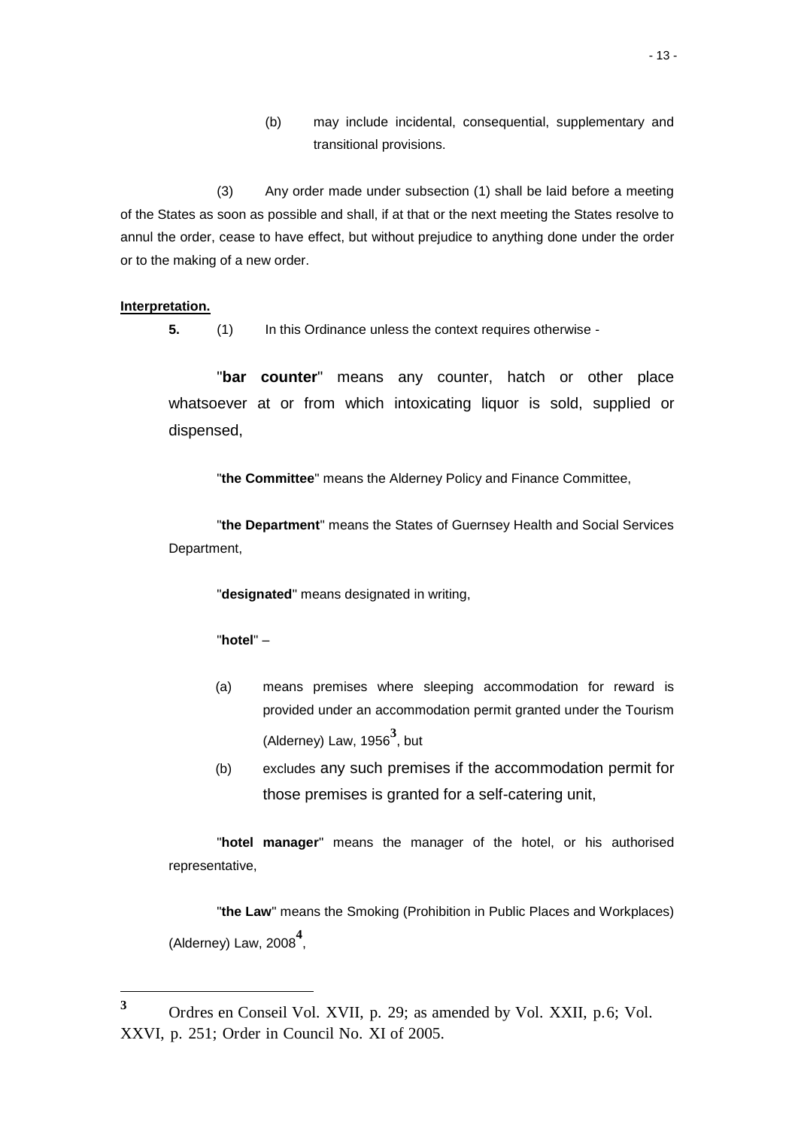(b) may include incidental, consequential, supplementary and transitional provisions.

(3) Any order made under subsection (1) shall be laid before a meeting of the States as soon as possible and shall, if at that or the next meeting the States resolve to annul the order, cease to have effect, but without prejudice to anything done under the order or to the making of a new order.

# **Interpretation.**

l

**5.** (1) In this Ordinance unless the context requires otherwise -

"**bar counter**" means any counter, hatch or other place whatsoever at or from which intoxicating liquor is sold, supplied or dispensed,

"**the Committee**" means the Alderney Policy and Finance Committee,

"**the Department**" means the States of Guernsey Health and Social Services Department,

"**designated**" means designated in writing,

# "**hotel**" –

- (a) means premises where sleeping accommodation for reward is provided under an accommodation permit granted under the Tourism (Alderney) Law, 1956**<sup>3</sup>** , but
- (b) excludes any such premises if the accommodation permit for those premises is granted for a self-catering unit,

"**hotel manager**" means the manager of the hotel, or his authorised representative,

"**the Law**" means the Smoking (Prohibition in Public Places and Workplaces) (Alderney) Law, 2008**<sup>4</sup>** ,

**<sup>3</sup>** Ordres en Conseil Vol. XVII, p. 29; as amended by Vol. XXII, p.6; Vol. XXVI, p. 251; Order in Council No. XI of 2005.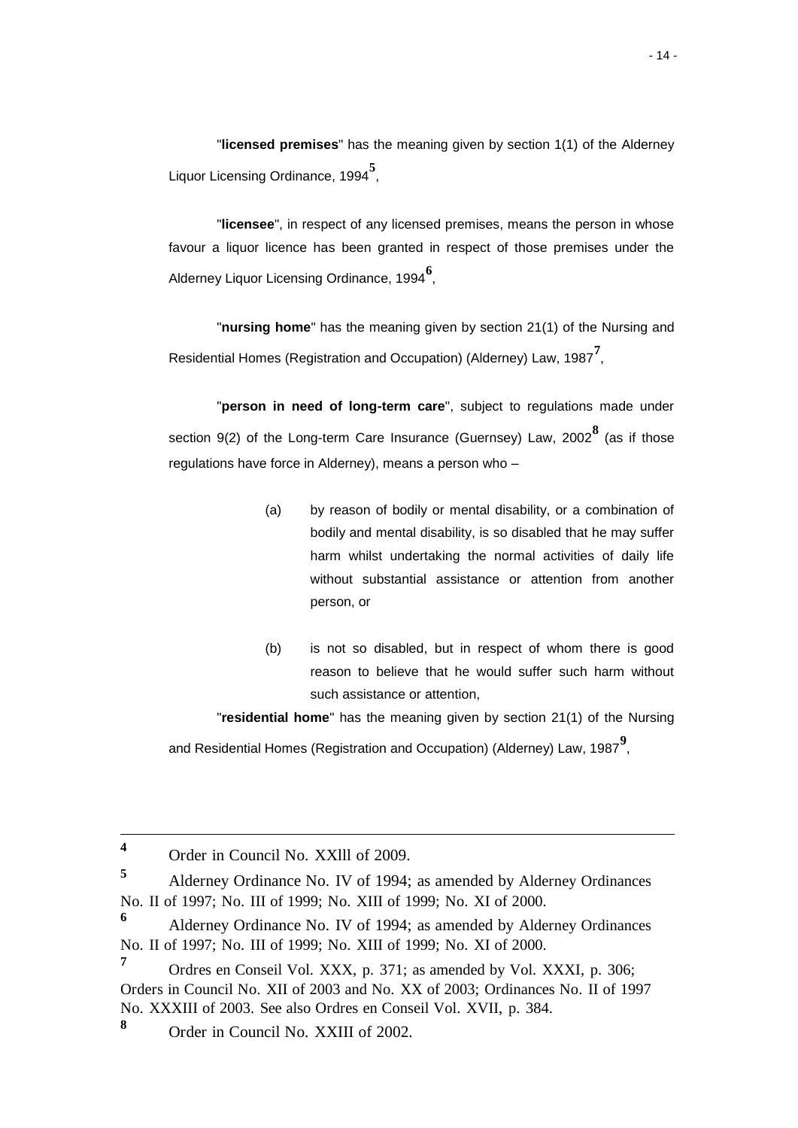"**licensed premises**" has the meaning given by section 1(1) of the Alderney Liquor Licensing Ordinance, 1994**<sup>5</sup>** ,

"**licensee**", in respect of any licensed premises, means the person in whose favour a liquor licence has been granted in respect of those premises under the Alderney Liquor Licensing Ordinance, 1994**<sup>6</sup>** ,

"**nursing home**" has the meaning given by section 21(1) of the Nursing and Residential Homes (Registration and Occupation) (Alderney) Law, 1987**<sup>7</sup>** ,

"**person in need of long-term care**", subject to regulations made under section 9(2) of the Long-term Care Insurance (Guernsey) Law, 2002**<sup>8</sup>** (as if those regulations have force in Alderney), means a person who –

- (a) by reason of bodily or mental disability, or a combination of bodily and mental disability, is so disabled that he may suffer harm whilst undertaking the normal activities of daily life without substantial assistance or attention from another person, or
- (b) is not so disabled, but in respect of whom there is good reason to believe that he would suffer such harm without such assistance or attention,

"**residential home**" has the meaning given by section 21(1) of the Nursing

and Residential Homes (Registration and Occupation) (Alderney) Law, 1987**<sup>9</sup>** ,

1

**<sup>8</sup>** Order in Council No. XXIII of 2002.

**<sup>4</sup>** Order in Council No. XXlll of 2009.

**<sup>5</sup>** Alderney Ordinance No. IV of 1994; as amended by Alderney Ordinances No. II of 1997; No. III of 1999; No. XIII of 1999; No. XI of 2000.

**<sup>6</sup>** Alderney Ordinance No. IV of 1994; as amended by Alderney Ordinances No. II of 1997; No. III of 1999; No. XIII of 1999; No. XI of 2000.

**<sup>7</sup>** Ordres en Conseil Vol. XXX, p. 371; as amended by Vol. XXXI, p. 306; Orders in Council No. XII of 2003 and No. XX of 2003; Ordinances No. II of 1997 No. XXXIII of 2003. See also Ordres en Conseil Vol. XVII, p. 384.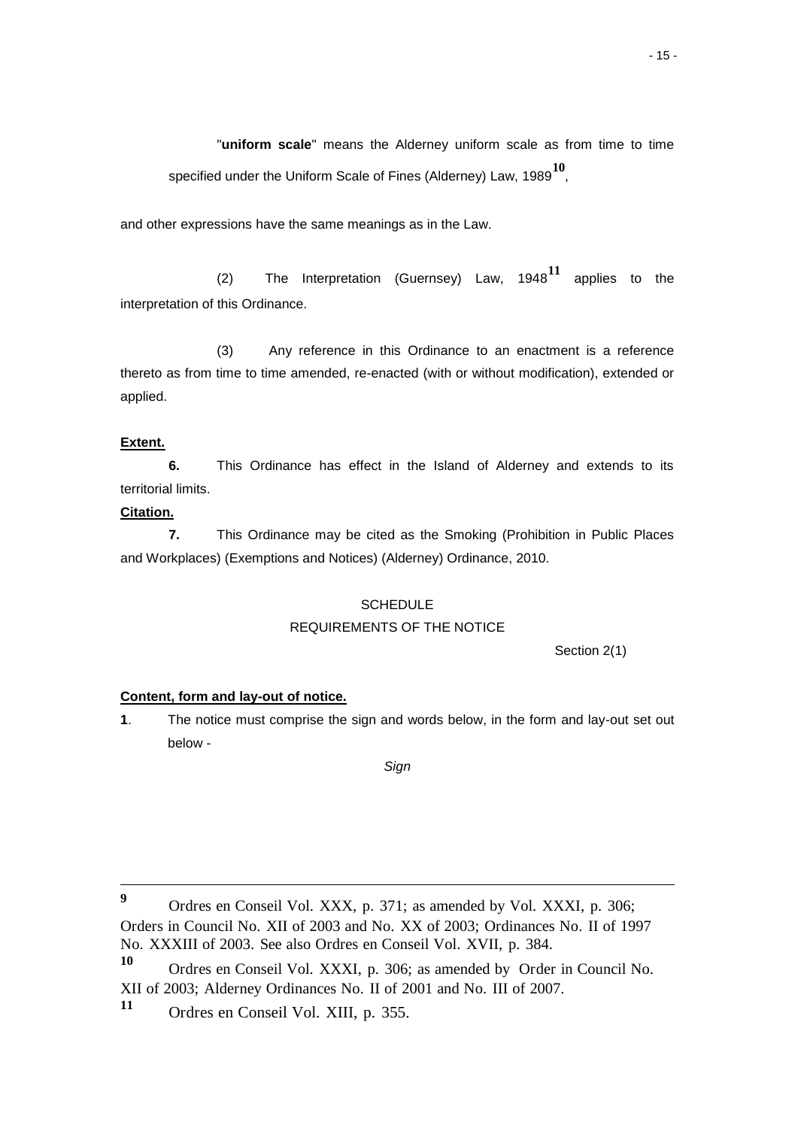"**uniform scale**" means the Alderney uniform scale as from time to time specified under the Uniform Scale of Fines (Alderney) Law, 1989**<sup>10</sup>** ,

and other expressions have the same meanings as in the Law.

(2) The Interpretation (Guernsey) Law, 1948**<sup>11</sup>** applies to the interpretation of this Ordinance.

(3) Any reference in this Ordinance to an enactment is a reference thereto as from time to time amended, re-enacted (with or without modification), extended or applied.

# **Extent.**

**6.** This Ordinance has effect in the Island of Alderney and extends to its territorial limits.

# **Citation.**

-

**7.** This Ordinance may be cited as the Smoking (Prohibition in Public Places and Workplaces) (Exemptions and Notices) (Alderney) Ordinance, 2010.

#### **SCHEDULE**

#### REQUIREMENTS OF THE NOTICE

Section 2(1)

# **Content, form and lay-out of notice.**

**1**. The notice must comprise the sign and words below, in the form and lay-out set out below -

*Sign*

**9** Ordres en Conseil Vol. XXX, p. 371; as amended by Vol. XXXI, p. 306; Orders in Council No. XII of 2003 and No. XX of 2003; Ordinances No. II of 1997 No. XXXIII of 2003. See also Ordres en Conseil Vol. XVII, p. 384.

**<sup>10</sup>** Ordres en Conseil Vol. XXXI, p. 306; as amended by Order in Council No. XII of 2003; Alderney Ordinances No. II of 2001 and No. III of 2007.

**<sup>11</sup>** Ordres en Conseil Vol. XIII, p. 355.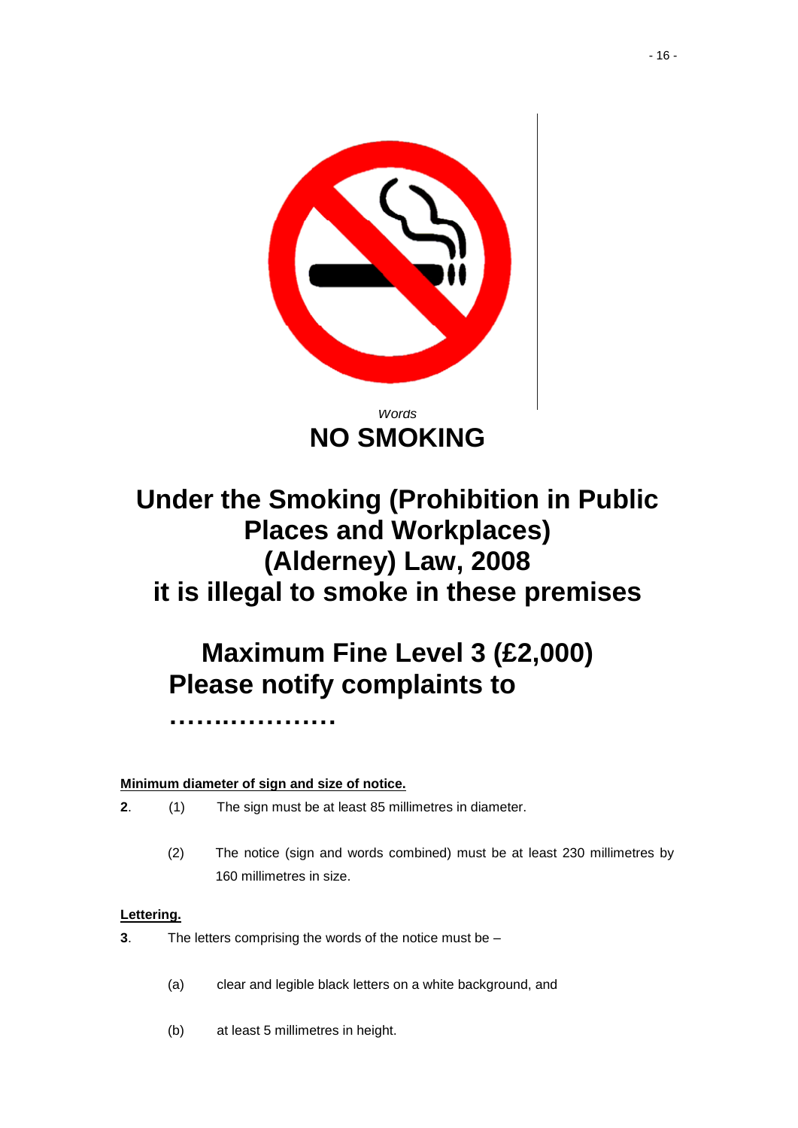

# **Under the Smoking (Prohibition in Public Places and Workplaces) (Alderney) Law, 2008 it is illegal to smoke in these premises**

# **Maximum Fine Level 3 (£2,000) Please notify complaints to**

# **Minimum diameter of sign and size of notice.**

**…….…………**

- **2**. (1) The sign must be at least 85 millimetres in diameter.
	- (2) The notice (sign and words combined) must be at least 230 millimetres by 160 millimetres in size.

# **Lettering.**

- **3**. The letters comprising the words of the notice must be
	- (a) clear and legible black letters on a white background, and
	- (b) at least 5 millimetres in height.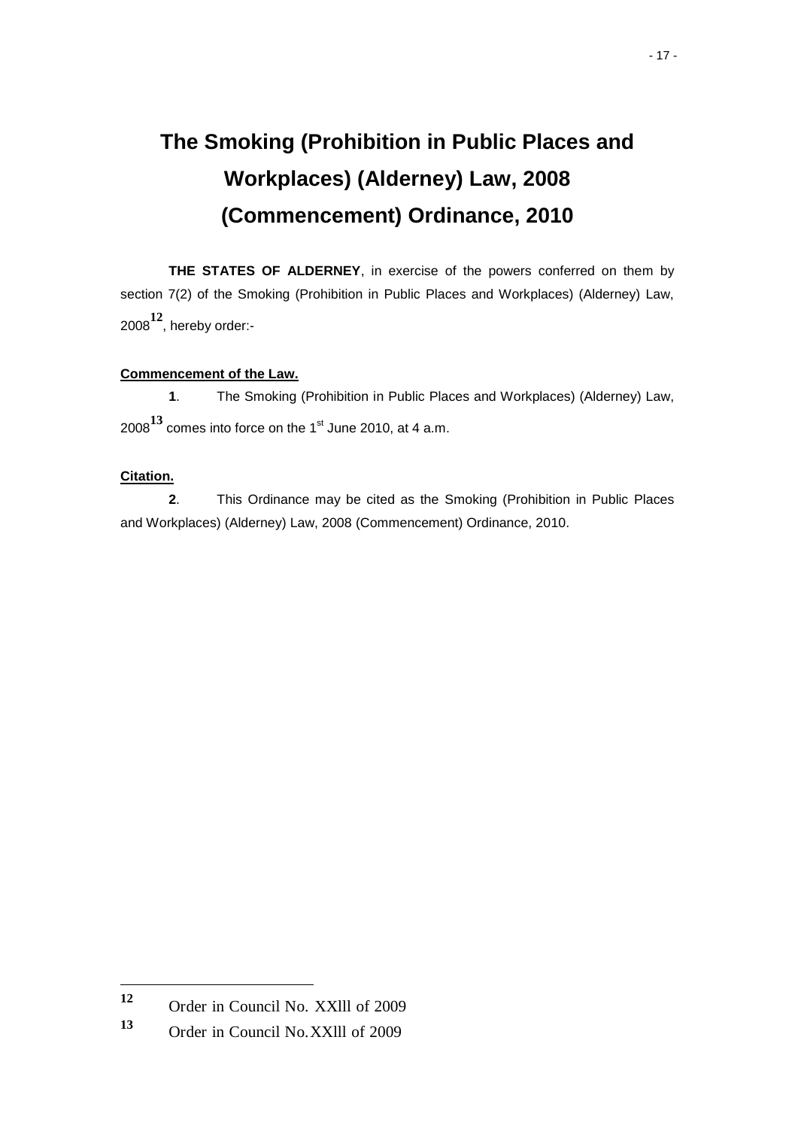# **The Smoking (Prohibition in Public Places and Workplaces) (Alderney) Law, 2008 (Commencement) Ordinance, 2010**

**THE STATES OF ALDERNEY**, in exercise of the powers conferred on them by section 7(2) of the Smoking (Prohibition in Public Places and Workplaces) (Alderney) Law, <sup>2008</sup>**12**, hereby order:-

# **Commencement of the Law.**

**1**. The Smoking (Prohibition in Public Places and Workplaces) (Alderney) Law, 2008<sup>13</sup> comes into force on the 1<sup>st</sup> June 2010, at 4 a.m.

# **Citation.**

l

**2**. This Ordinance may be cited as the Smoking (Prohibition in Public Places and Workplaces) (Alderney) Law, 2008 (Commencement) Ordinance, 2010.

**<sup>12</sup>** Order in Council No. XXlll of 2009

**<sup>13</sup>** Order in Council No.XXlll of 2009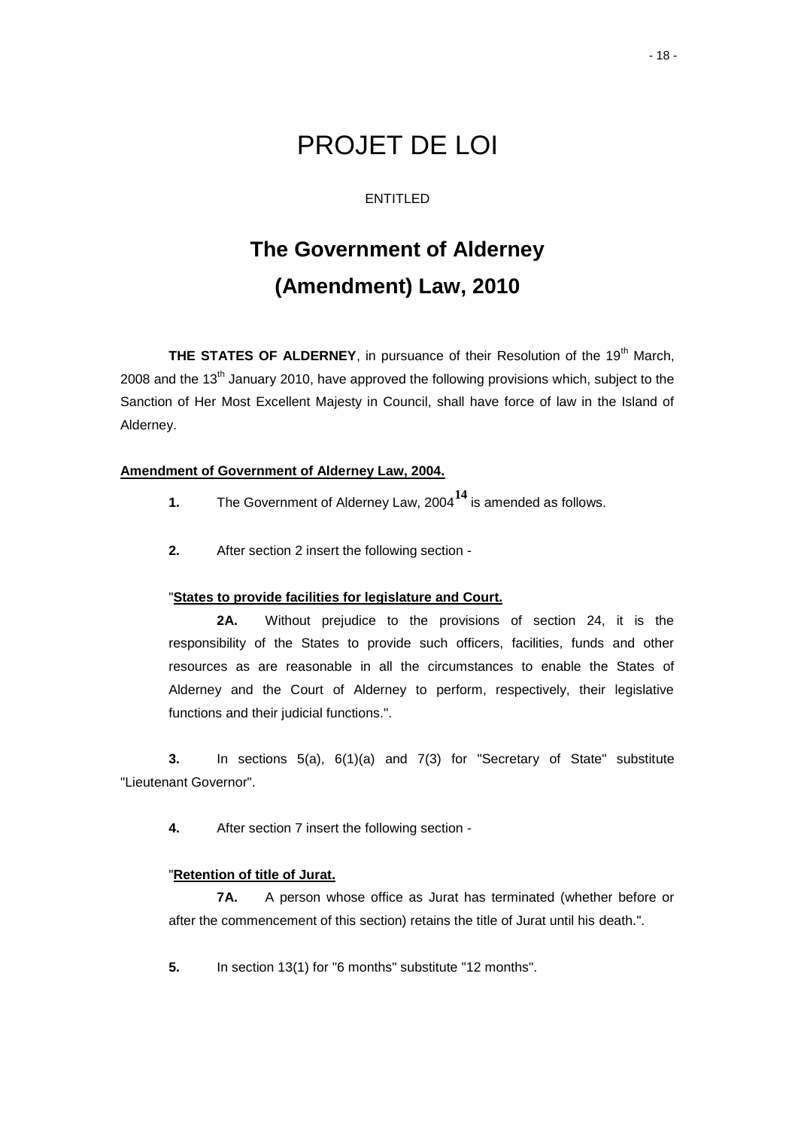# PROJET DE LOI

# ENTITLED

# **The Government of Alderney (Amendment) Law, 2010**

**THE STATES OF ALDERNEY**, in pursuance of their Resolution of the 19<sup>th</sup> March, 2008 and the  $13<sup>th</sup>$  January 2010, have approved the following provisions which, subject to the Sanction of Her Most Excellent Majesty in Council, shall have force of law in the Island of Alderney.

# **Amendment of Government of Alderney Law, 2004.**

- **1.** The Government of Alderney Law, 2004**<sup>14</sup>** is amended as follows.
- **2.** After section 2 insert the following section -

### "**States to provide facilities for legislature and Court.**

**2A.** Without prejudice to the provisions of section 24, it is the responsibility of the States to provide such officers, facilities, funds and other resources as are reasonable in all the circumstances to enable the States of Alderney and the Court of Alderney to perform, respectively, their legislative functions and their judicial functions.".

**3.** In sections 5(a), 6(1)(a) and 7(3) for "Secretary of State" substitute "Lieutenant Governor".

**4.** After section 7 insert the following section -

# "**Retention of title of Jurat.**

**7A.** A person whose office as Jurat has terminated (whether before or after the commencement of this section) retains the title of Jurat until his death.".

**5.** In section 13(1) for "6 months" substitute "12 months".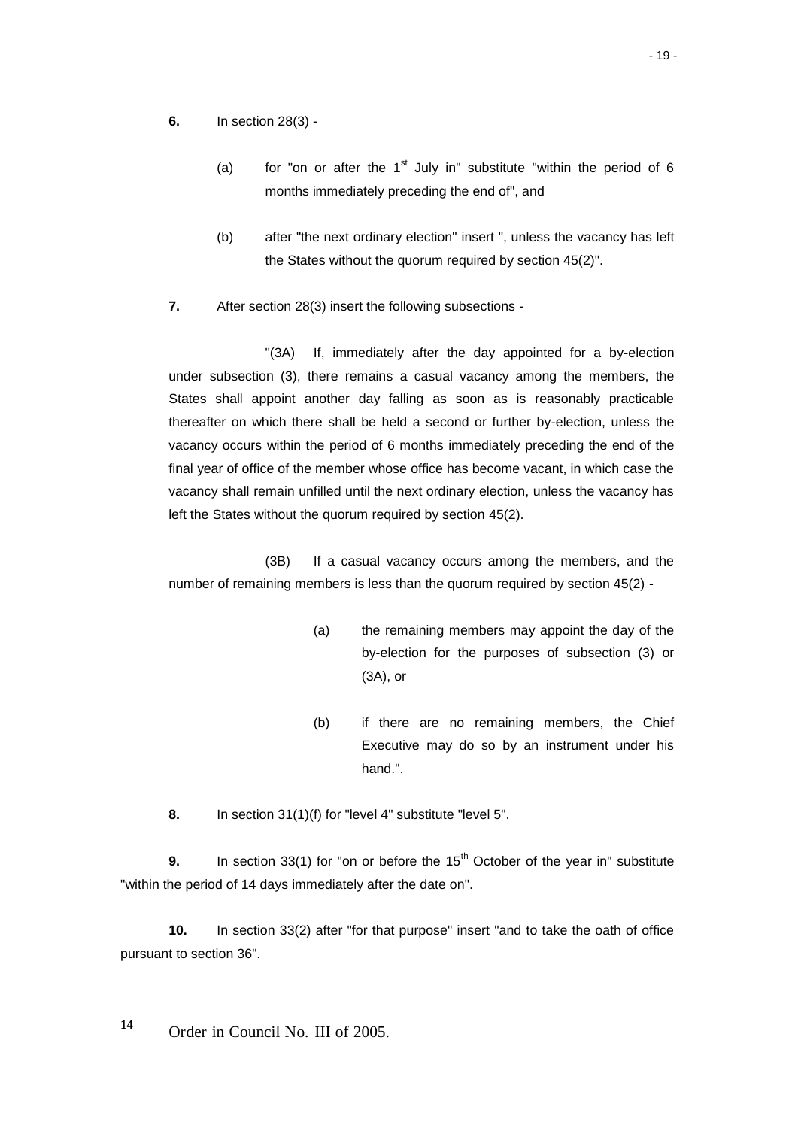- **6.** In section 28(3)
	- (a) for "on or after the  $1<sup>st</sup>$  July in" substitute "within the period of 6 months immediately preceding the end of", and
	- (b) after "the next ordinary election" insert ", unless the vacancy has left the States without the quorum required by section 45(2)".
- **7.** After section 28(3) insert the following subsections -

"(3A) If, immediately after the day appointed for a by-election under subsection (3), there remains a casual vacancy among the members, the States shall appoint another day falling as soon as is reasonably practicable thereafter on which there shall be held a second or further by-election, unless the vacancy occurs within the period of 6 months immediately preceding the end of the final year of office of the member whose office has become vacant, in which case the vacancy shall remain unfilled until the next ordinary election, unless the vacancy has left the States without the quorum required by section 45(2).

(3B) If a casual vacancy occurs among the members, and the number of remaining members is less than the quorum required by section 45(2) -

- (a) the remaining members may appoint the day of the by-election for the purposes of subsection (3) or (3A), or
- (b) if there are no remaining members, the Chief Executive may do so by an instrument under his hand.".
- **8.** In section 31(1)(f) for "level 4" substitute "level 5".

**9.** In section 33(1) for "on or before the 15<sup>th</sup> October of the year in" substitute "within the period of 14 days immediately after the date on".

**10.** In section 33(2) after "for that purpose" insert "and to take the oath of office pursuant to section 36".

 $\overline{a}$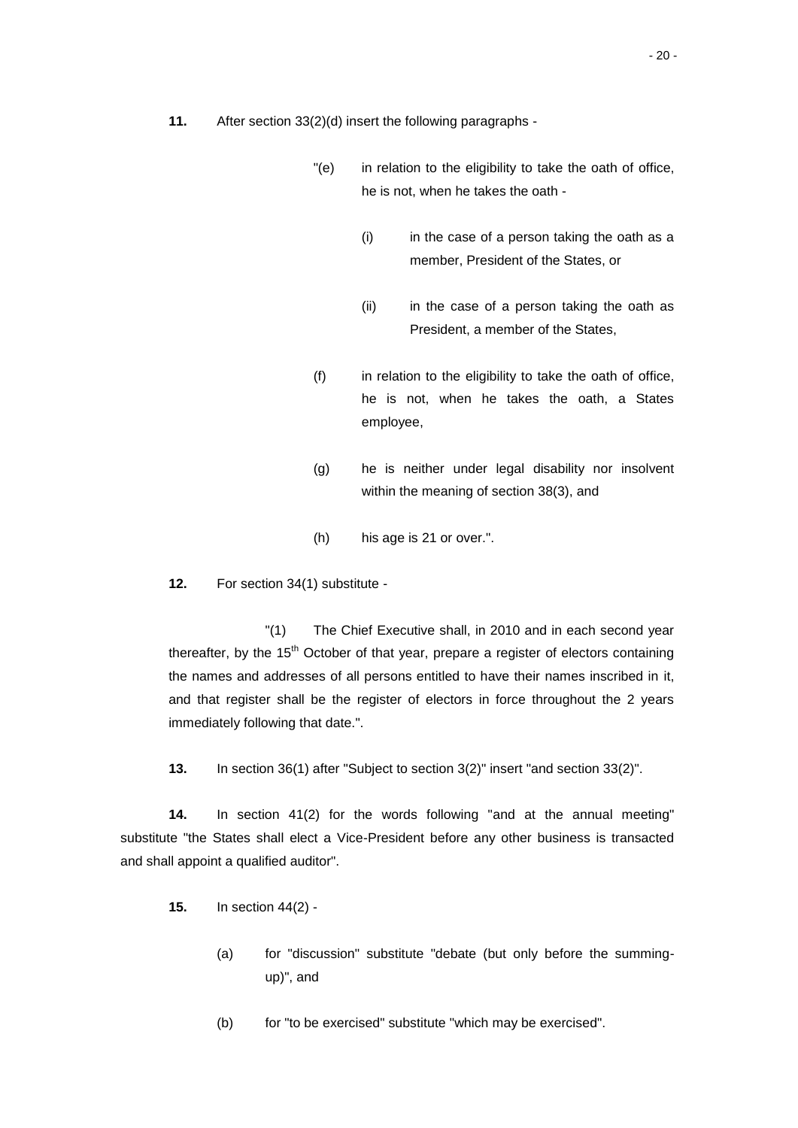- "(e) in relation to the eligibility to take the oath of office, he is not, when he takes the oath -
	- (i) in the case of a person taking the oath as a member, President of the States, or
	- (ii) in the case of a person taking the oath as President, a member of the States,
- $(f)$  in relation to the eligibility to take the oath of office, he is not, when he takes the oath, a States employee,
- (g) he is neither under legal disability nor insolvent within the meaning of section 38(3), and
- (h) his age is 21 or over.".

**12.** For section 34(1) substitute -

"(1) The Chief Executive shall, in 2010 and in each second year thereafter, by the  $15<sup>th</sup>$  October of that year, prepare a register of electors containing the names and addresses of all persons entitled to have their names inscribed in it, and that register shall be the register of electors in force throughout the 2 years immediately following that date.".

**13.** In section 36(1) after "Subject to section 3(2)" insert "and section 33(2)".

**14.** In section 41(2) for the words following "and at the annual meeting" substitute "the States shall elect a Vice-President before any other business is transacted and shall appoint a qualified auditor".

- **15.** In section 44(2)
	- (a) for "discussion" substitute "debate (but only before the summingup)", and
	- (b) for "to be exercised" substitute "which may be exercised".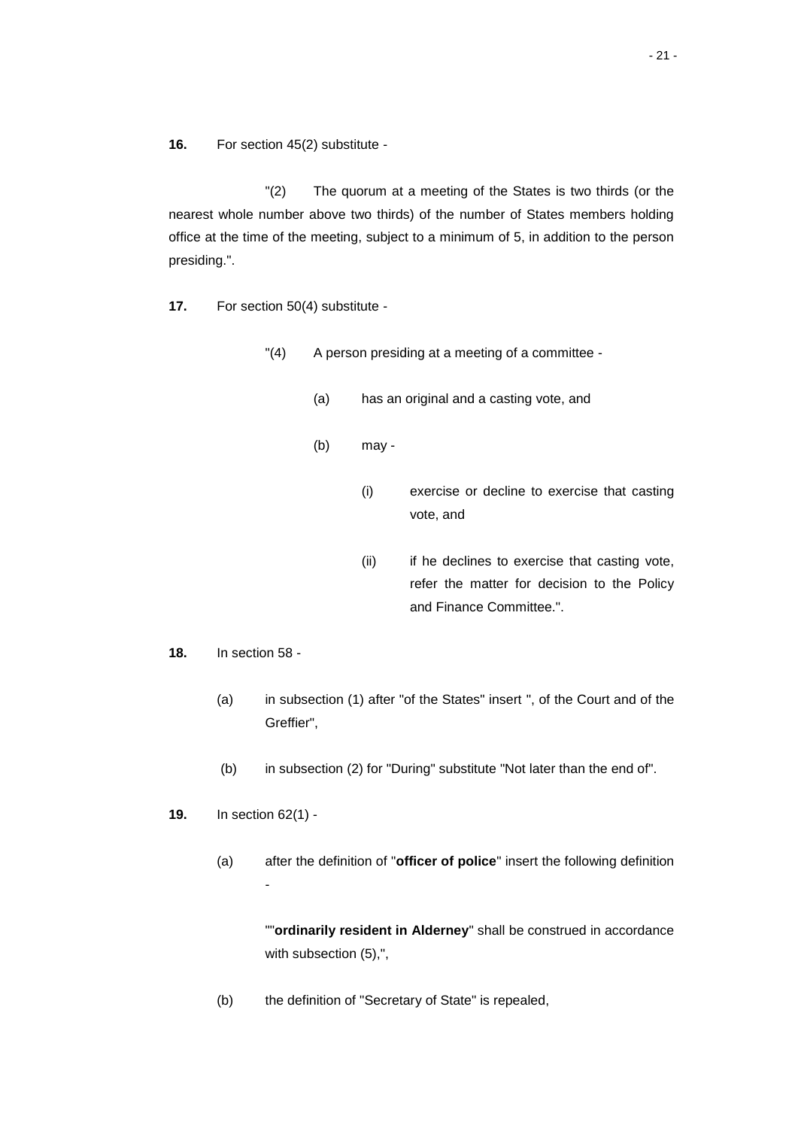**16.** For section 45(2) substitute -

"(2) The quorum at a meeting of the States is two thirds (or the nearest whole number above two thirds) of the number of States members holding office at the time of the meeting, subject to a minimum of 5, in addition to the person presiding.".

**17.** For section 50(4) substitute -

"(4) A person presiding at a meeting of a committee -

- (a) has an original and a casting vote, and
- (b) may
	- (i) exercise or decline to exercise that casting vote, and
	- (ii) if he declines to exercise that casting vote, refer the matter for decision to the Policy and Finance Committee.".
- **18.** In section 58
	- (a) in subsection (1) after "of the States" insert ", of the Court and of the Greffier",
	- (b) in subsection (2) for "During" substitute "Not later than the end of".
- **19.** In section 62(1)
	- (a) after the definition of "**officer of police**" insert the following definition -

""**ordinarily resident in Alderney**" shall be construed in accordance with subsection (5),",

(b) the definition of "Secretary of State" is repealed,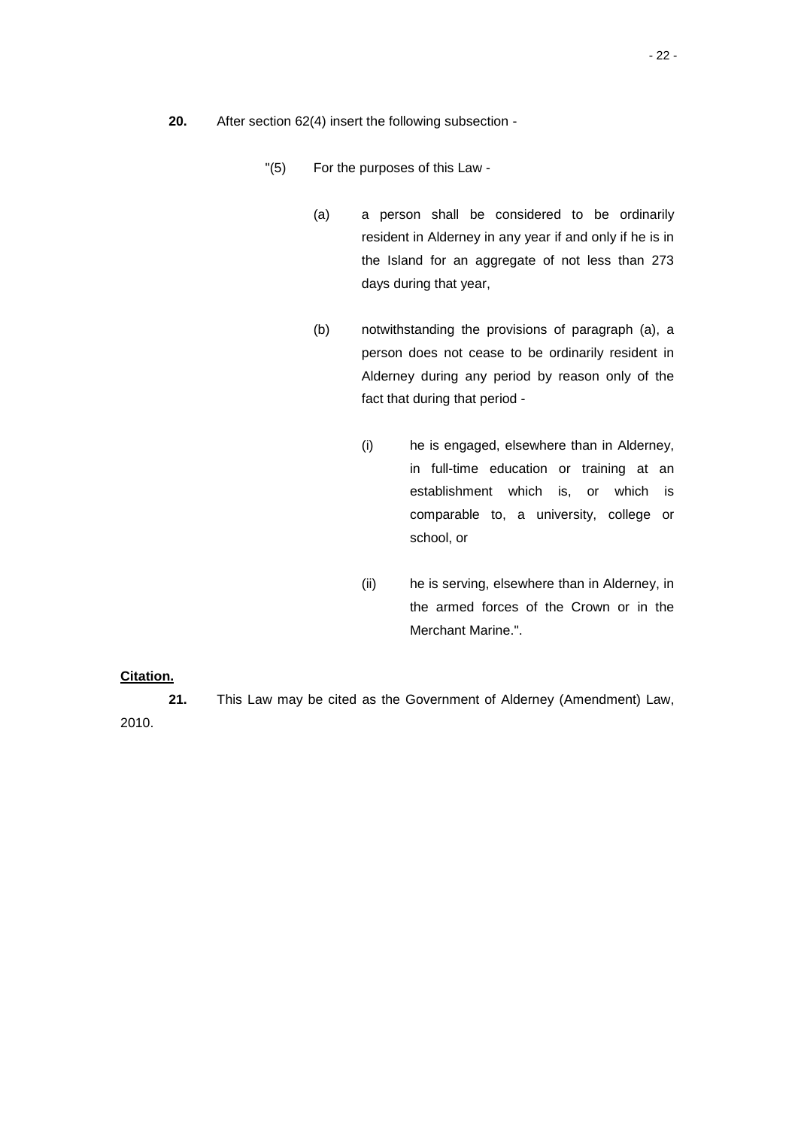- **20.** After section 62(4) insert the following subsection
	- "(5) For the purposes of this Law
		- (a) a person shall be considered to be ordinarily resident in Alderney in any year if and only if he is in the Island for an aggregate of not less than 273 days during that year,
		- (b) notwithstanding the provisions of paragraph (a), a person does not cease to be ordinarily resident in Alderney during any period by reason only of the fact that during that period -
			- (i) he is engaged, elsewhere than in Alderney, in full-time education or training at an establishment which is, or which is comparable to, a university, college or school, or
			- (ii) he is serving, elsewhere than in Alderney, in the armed forces of the Crown or in the Merchant Marine.".

# **Citation.**

**21.** This Law may be cited as the Government of Alderney (Amendment) Law, 2010.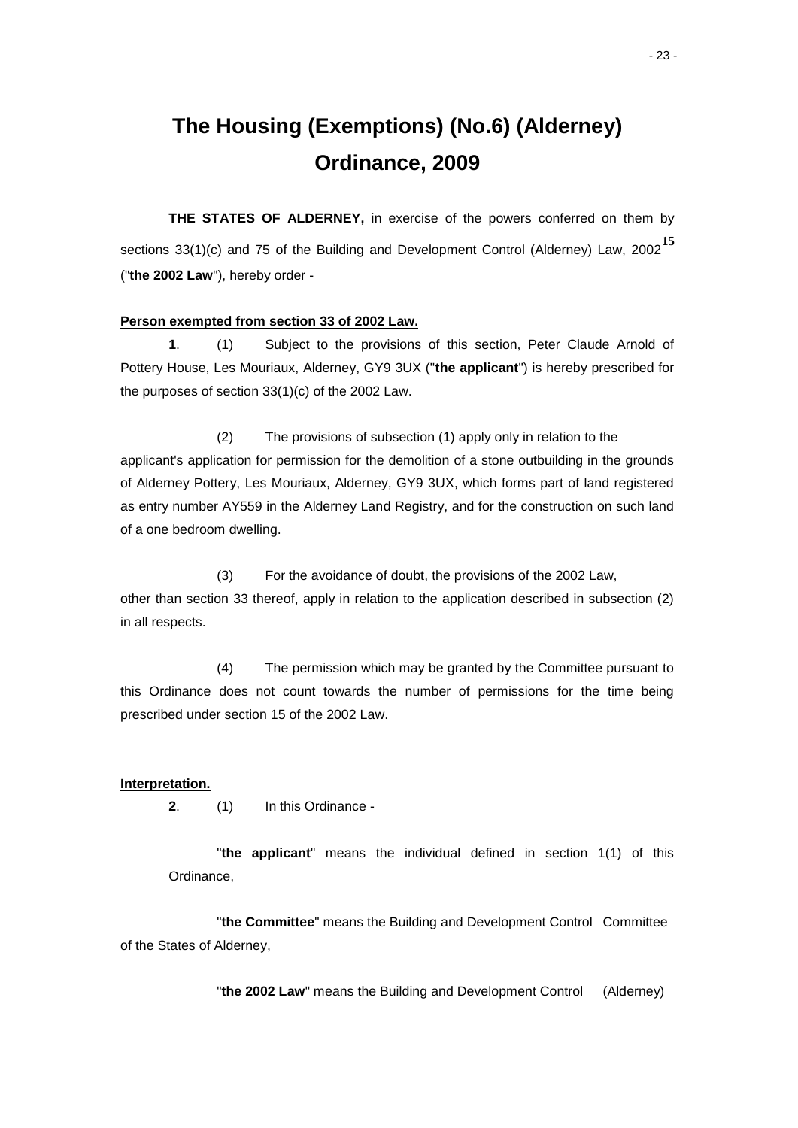# **The Housing (Exemptions) (No.6) (Alderney) Ordinance, 2009**

**THE STATES OF ALDERNEY,** in exercise of the powers conferred on them by sections 33(1)(c) and 75 of the Building and Development Control (Alderney) Law, 2002**<sup>15</sup>** ("**the 2002 Law**"), hereby order -

#### **Person exempted from section 33 of 2002 Law.**

**1**. (1) Subject to the provisions of this section, Peter Claude Arnold of Pottery House, Les Mouriaux, Alderney, GY9 3UX ("**the applicant**") is hereby prescribed for the purposes of section 33(1)(c) of the 2002 Law.

(2) The provisions of subsection (1) apply only in relation to the applicant's application for permission for the demolition of a stone outbuilding in the grounds of Alderney Pottery, Les Mouriaux, Alderney, GY9 3UX, which forms part of land registered as entry number AY559 in the Alderney Land Registry, and for the construction on such land of a one bedroom dwelling.

(3) For the avoidance of doubt, the provisions of the 2002 Law, other than section 33 thereof, apply in relation to the application described in subsection (2) in all respects.

(4) The permission which may be granted by the Committee pursuant to this Ordinance does not count towards the number of permissions for the time being prescribed under section 15 of the 2002 Law.

### **Interpretation.**

**2**. (1) In this Ordinance -

"**the applicant**" means the individual defined in section 1(1) of this Ordinance,

"**the Committee**" means the Building and Development Control Committee of the States of Alderney,

"**the 2002 Law**" means the Building and Development Control (Alderney)